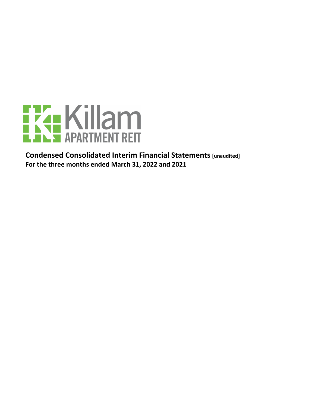

**Condensed Consolidated Interim Financial Statements [unaudited]** For the three months ended March 31, 2022 and 2021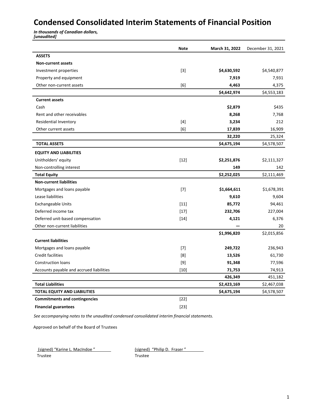## **Condensed Consolidated Interim Statements of Financial Position**

**In thousands of Canadian dollars,** *[unaudited]*

|                                          | <b>Note</b>       | March 31, 2022 | December 31, 2021 |
|------------------------------------------|-------------------|----------------|-------------------|
| <b>ASSETS</b>                            |                   |                |                   |
| <b>Non-current assets</b>                |                   |                |                   |
| Investment properties                    | $\lceil 3 \rceil$ | \$4,630,592    | \$4,540,877       |
| Property and equipment                   |                   | 7,919          | 7,931             |
| Other non-current assets                 | [6]               | 4,463          | 4,375             |
|                                          |                   | \$4,642,974    | \$4,553,183       |
| <b>Current assets</b>                    |                   |                |                   |
| Cash                                     |                   | \$2,879        | \$435             |
| Rent and other receivables               |                   | 8,268          | 7,768             |
| Residential Inventory                    | $[4]$             | 3,234          | 212               |
| Other current assets                     | [6]               | 17,839         | 16,909            |
|                                          |                   | 32,220         | 25,324            |
| <b>TOTAL ASSETS</b>                      |                   | \$4,675,194    | \$4,578,507       |
| <b>EQUITY AND LIABILITIES</b>            |                   |                |                   |
| Unitholders' equity                      | $[12]$            | \$2,251,876    | \$2,111,327       |
| Non-controlling interest                 |                   | 149            | 142               |
| <b>Total Equity</b>                      |                   | \$2,252,025    | \$2,111,469       |
| <b>Non-current liabilities</b>           |                   |                |                   |
| Mortgages and loans payable              | $[7]$             | \$1,664,611    | \$1,678,391       |
| Lease liabilities                        |                   | 9,610          | 9,604             |
| <b>Exchangeable Units</b>                | $[11]$            | 85,772         | 94,461            |
| Deferred income tax                      | $[17]$            | 232,706        | 227,004           |
| Deferred unit-based compensation         | $[14]$            | 4,121          | 6,376             |
| Other non-current liabilities            |                   |                | 20                |
|                                          |                   | \$1,996,820    | \$2,015,856       |
| <b>Current liabilities</b>               |                   |                |                   |
| Mortgages and loans payable              | $[7]$             | 249,722        | 236,943           |
| <b>Credit facilities</b>                 | [8]               | 13,526         | 61,730            |
| <b>Construction loans</b>                | $[9]$             | 91,348         | 77,596            |
| Accounts payable and accrued liabilities | $[10]$            | 71,753         | 74,913            |
|                                          |                   | 426,349        | 451,182           |
| <b>Total Liabilities</b>                 |                   | \$2,423,169    | \$2,467,038       |
| <b>TOTAL EQUITY AND LIABILITIES</b>      |                   | \$4,675,194    | \$4,578,507       |
| <b>Commitments and contingencies</b>     | $[22]$            |                |                   |
| <b>Financial guarantees</b>              | $[23]$            |                |                   |

See accompanying notes to the unaudited condensed consolidated interim financial statements.

Approved on behalf of the Board of Trustees

(signed) "Karine L. MacIndoe " [signed) "Philip D. Fraser"

Trustee Trustee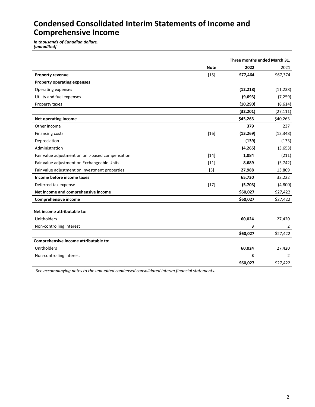## **Condensed Consolidated Interim Statements of Income and Comprehensive Income**

*In thousands of Canadian dollars, [unaudited]*

|                                                  | Three months ended March 31, |           |                |
|--------------------------------------------------|------------------------------|-----------|----------------|
|                                                  | <b>Note</b>                  | 2022      | 2021           |
| <b>Property revenue</b>                          | $[15]$                       | \$77,464  | \$67,374       |
| <b>Property operating expenses</b>               |                              |           |                |
| Operating expenses                               |                              | (12, 218) | (11, 238)      |
| Utility and fuel expenses                        |                              | (9,693)   | (7, 259)       |
| Property taxes                                   |                              | (10, 290) | (8,614)        |
|                                                  |                              | (32, 201) | (27, 111)      |
| <b>Net operating income</b>                      |                              | \$45,263  | \$40,263       |
| Other income                                     |                              | 379       | 237            |
| Financing costs                                  | $[16]$                       | (13, 269) | (12, 348)      |
| Depreciation                                     |                              | (139)     | (133)          |
| Administration                                   |                              | (4, 265)  | (3,653)        |
| Fair value adjustment on unit-based compensation | $[14]$                       | 1,084     | (211)          |
| Fair value adjustment on Exchangeable Units      | $[11]$                       | 8,689     | (5, 742)       |
| Fair value adjustment on investment properties   | $[3]$                        | 27,988    | 13,809         |
| Income before income taxes                       |                              | 65,730    | 32,222         |
| Deferred tax expense                             | $[17]$                       | (5,703)   | (4,800)        |
| Net income and comprehensive income              |                              | \$60,027  | \$27,422       |
| Comprehensive income                             |                              | \$60,027  | \$27,422       |
|                                                  |                              |           |                |
| Net income attributable to:                      |                              |           |                |
| <b>Unitholders</b>                               |                              | 60,024    | 27,420         |
| Non-controlling interest                         |                              | 3         | $\overline{2}$ |
|                                                  |                              | \$60,027  | \$27,422       |
| Comprehensive income attributable to:            |                              |           |                |
| <b>Unitholders</b>                               |                              | 60,024    | 27,420         |
| Non-controlling interest                         |                              | 3         | $\overline{2}$ |
|                                                  |                              | \$60,027  | \$27,422       |

See accompanying notes to the unaudited condensed consolidated interim financial statements.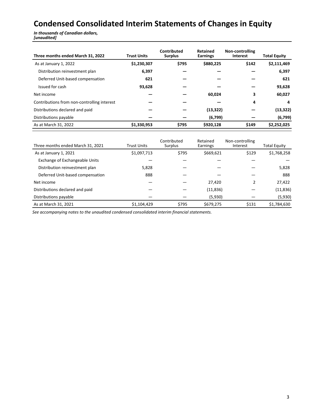# **Condensed Consolidated Interim Statements of Changes in Equity**

*In thousands of Canadian dollars, [unaudited]*

| Three months ended March 31, 2022           | <b>Trust Units</b> | Contributed<br><b>Surplus</b> | Retained<br><b>Earnings</b> | Non-controlling<br><b>Interest</b> | <b>Total Equity</b> |
|---------------------------------------------|--------------------|-------------------------------|-----------------------------|------------------------------------|---------------------|
| As at January 1, 2022                       | \$1,230,307        | \$795                         | \$880,225                   | \$142                              | \$2,111,469         |
| Distribution reinvestment plan              | 6,397              |                               |                             |                                    | 6,397               |
| Deferred Unit-based compensation            | 621                |                               |                             |                                    | 621                 |
| Issued for cash                             | 93,628             |                               |                             |                                    | 93,628              |
| Net income                                  |                    |                               | 60,024                      | 3                                  | 60,027              |
| Contributions from non-controlling interest |                    |                               |                             | 4                                  | 4                   |
| Distributions declared and paid             |                    |                               | (13, 322)                   |                                    | (13, 322)           |
| Distributions payable                       |                    |                               | (6,799)                     |                                    | (6, 799)            |
| As at March 31, 2022                        | \$1,330,953        | \$795                         | \$920,128                   | \$149                              | \$2,252,025         |

| Three months ended March 31, 2021     | <b>Trust Units</b> | Contributed<br><b>Surplus</b> | Retained<br>Earnings | Non-controlling<br>Interest | <b>Total Equity</b> |
|---------------------------------------|--------------------|-------------------------------|----------------------|-----------------------------|---------------------|
| As at January 1, 2021                 | \$1,097,713        | \$795                         | \$669,621            | \$129                       | \$1,768,258         |
| <b>Exchange of Exchangeable Units</b> |                    |                               |                      |                             |                     |
| Distribution reinvestment plan        | 5,828              |                               |                      |                             | 5,828               |
| Deferred Unit-based compensation      | 888                |                               |                      |                             | 888                 |
| Net income                            |                    |                               | 27,420               | 2                           | 27,422              |
| Distributions declared and paid       |                    |                               | (11, 836)            |                             | (11, 836)           |
| Distributions payable                 |                    |                               | (5,930)              |                             | (5,930)             |
| As at March 31, 2021                  | \$1,104,429        | \$795                         | \$679,275            | \$131                       | \$1,784,630         |

See accompanying notes to the unaudited condensed consolidated interim financial statements.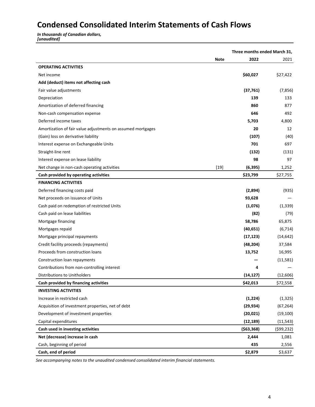# **Condensed Consolidated Interim Statements of Cash Flows**

*In thousands of Canadian dollars, [unaudited]*

|                                                             |             | Three months ended March 31, |            |
|-------------------------------------------------------------|-------------|------------------------------|------------|
|                                                             | <b>Note</b> | 2022                         | 2021       |
| <b>OPERATING ACTIVITIES</b>                                 |             |                              |            |
| Net income                                                  |             | \$60,027                     | \$27,422   |
| Add (deduct) items not affecting cash                       |             |                              |            |
| Fair value adjustments                                      |             | (37, 761)                    | (7, 856)   |
| Depreciation                                                |             | 139                          | 133        |
| Amortization of deferred financing                          |             | 860                          | 877        |
| Non-cash compensation expense                               |             | 646                          | 492        |
| Deferred income taxes                                       |             | 5,703                        | 4,800      |
| Amortization of fair value adjustments on assumed mortgages |             | 20                           | 12         |
| (Gain) loss on derivative liability                         |             | (107)                        | (40)       |
| Interest expense on Exchangeable Units                      |             | 701                          | 697        |
| Straight-line rent                                          |             | (132)                        | (131)      |
| Interest expense on lease liability                         |             | 98                           | 97         |
| Net change in non-cash operating activities                 | $[19]$      | (6, 395)                     | 1,252      |
| Cash provided by operating activities                       |             | \$23,799                     | \$27,755   |
| <b>FINANCING ACTIVITIES</b>                                 |             |                              |            |
| Deferred financing costs paid                               |             | (2,894)                      | (935)      |
| Net proceeds on issuance of Units                           |             | 93,628                       |            |
| Cash paid on redemption of restricted Units                 |             | (1,076)                      | (1, 339)   |
| Cash paid on lease liabilities                              |             | (82)                         | (79)       |
| Mortgage financing                                          |             | 58,786                       | 65,875     |
| Mortgages repaid                                            |             | (40, 651)                    | (6, 714)   |
| Mortgage principal repayments                               |             | (17, 123)                    | (14, 642)  |
| Credit facility proceeds (repayments)                       |             | (48, 204)                    | 37,584     |
| Proceeds from construction loans                            |             | 13,752                       | 16,995     |
| Construction loan repayments                                |             |                              | (11,581)   |
| Contributions from non-controlling interest                 |             | 4                            |            |
| Distributions to Unitholders                                |             | (14, 127)                    | (12,606)   |
| Cash provided by financing activities                       |             | \$42,013                     | \$72,558   |
| <b>INVESTING ACTIVITIES</b>                                 |             |                              |            |
| Increase in restricted cash                                 |             | (1, 224)                     | (1, 325)   |
| Acquisition of investment properties, net of debt           |             | (29, 934)                    | (67, 264)  |
| Development of investment properties                        |             | (20, 021)                    | (19, 100)  |
| Capital expenditures                                        |             | (12, 189)                    | (11, 543)  |
| Cash used in investing activities                           |             | ( \$63, 368)                 | (599, 232) |
| Net (decrease) increase in cash                             |             | 2,444                        | 1,081      |
| Cash, beginning of period                                   |             | 435                          | 2,556      |
| Cash, end of period                                         |             | \$2,879                      | \$3,637    |

See accompanying notes to the unaudited condensed consolidated interim financial statements.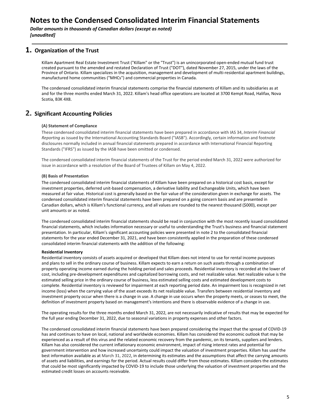**Dollar amounts in thousands of Canadian dollars (except as noted)** *[unaudited]*

#### **1. Organization of the Trust**

Killam Apartment Real Estate Investment Trust ("Killam" or the "Trust") is an unincorporated open-ended mutual fund trust created pursuant to the amended and restated Declaration of Trust ("DOT"), dated November 27, 2015, under the laws of the Province of Ontario. Killam specializes in the acquisition, management and development of multi-residential apartment buildings, manufactured home communities ("MHCs") and commercial properties in Canada.

The condensed consolidated interim financial statements comprise the financial statements of Killam and its subsidiaries as at and for the three months ended March 31, 2022. Killam's head office operations are located at 3700 Kempt Road, Halifax, Nova Scotia, B3K 4X8.

#### **2.** Significant Accounting Policies

#### **(A) Statement of Compliance**

These condensed consolidated interim financial statements have been prepared in accordance with IAS 34, *Interim Financial Reporting* as issued by the International Accounting Standards Board ("IASB"). Accordingly, certain information and footnote disclosures normally included in annual financial statements prepared in accordance with International Financial Reporting Standards ("IFRS") as issued by the IASB have been omitted or condensed.

The condensed consolidated interim financial statements of the Trust for the period ended March 31, 2022 were authorized for issue in accordance with a resolution of the Board of Trustees of Killam on May 4, 2022.

#### **(B) Basis of Presentation**

The condensed consolidated interim financial statements of Killam have been prepared on a historical cost basis, except for investment properties, deferred unit-based compensation, a derivative liability and Exchangeable Units, which have been measured at fair value. Historical cost is generally based on the fair value of the consideration given in exchange for assets. The condensed consolidated interim financial statements have been prepared on a going concern basis and are presented in Canadian dollars, which is Killam's functional currency, and all values are rounded to the nearest thousand (\$000), except per unit amounts or as noted.

The condensed consolidated interim financial statements should be read in conjunction with the most recently issued consolidated financial statements, which includes information necessary or useful to understanding the Trust's business and financial statement presentation. In particular, Killam's significant accounting policies were presented in note 2 to the consolidated financial statements for the year ended December 31, 2021, and have been consistently applied in the preparation of these condensed consolidated interim financial statements with the addition of the following:

#### **Residential Inventory**

Residential inventory consists of assets acquired or developed that Killam does not intend to use for rental income purposes and plans to sell in the ordinary course of business. Killam expects to earn a return on such assets through a combination of property operating income earned during the holding period and sales proceeds. Residential inventory is recorded at the lower of cost, including pre-development expenditures and capitalized borrowing costs, and net realizable value. Net realizable value is the estimated selling price in the ordinary course of business, less estimated selling costs and estimated development costs to complete. Residential inventory is reviewed for impairment at each reporting period date. An impairment loss is recognized in net income (loss) when the carrying value of the asset exceeds its net realizable value. Transfers between residential inventory and investment property occur when there is a change in use. A change in use occurs when the property meets, or ceases to meet, the definition of investment property based on management's intentions and there is observable evidence of a change in use.

The operating results for the three months ended March 31, 2022, are not necessarily indicative of results that may be expected for the full year ending December 31, 2022, due to seasonal variations in property expenses and other factors.

The condensed consolidated interim financial statements have been prepared considering the impact that the spread of COVID-19 has and continues to have on local, national and worldwide economies. Killam has considered the economic outlook that may be experienced as a result of this virus and the related economic recovery from the pandemic, on its tenants, suppliers and lenders. Killam has also considered the current inflationary economic environment, impact of rising interest rates and potential for government intervention and how increased uncertainty could impact the valuation of investment properties. Killam has used the best information available as at March 31, 2022, in determining its estimates and the assumptions that affect the carrying amounts of assets and liabilities, and earnings for the period. Actual results could differ from those estimates. Killam considers the estimates that could be most significantly impacted by COVID-19 to include those underlying the valuation of investment properties and the estimated credit losses on accounts receivable.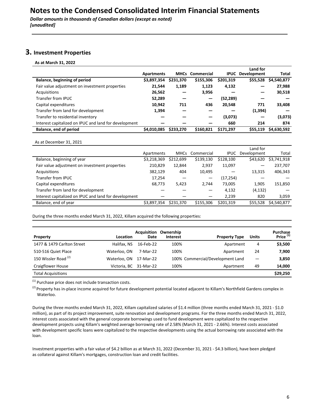### **3.** Investment Properties

**As at March 31, 2022**

|                                                       |                   |           |                        |           | Land for                |             |
|-------------------------------------------------------|-------------------|-----------|------------------------|-----------|-------------------------|-------------|
|                                                       | <b>Apartments</b> |           | <b>MHCs</b> Commercial |           | <b>IPUC</b> Development | Total       |
| Balance, beginning of period                          | \$3,897,354       | \$231,370 | \$155,306              | \$201,319 | \$55,528                | \$4,540,877 |
| Fair value adjustment on investment properties        | 21,544            | 1,189     | 1,123                  | 4,132     |                         | 27,988      |
| Acquisitions                                          | 26,562            |           | 3,956                  |           |                         | 30,518      |
| Transfer from IPUC                                    | 52,289            |           | –                      | (52,289)  |                         |             |
| Capital expenditures                                  | 10,942            | 711       | 436                    | 20,548    | 771                     | 33,408      |
| Transfer from land for development                    | 1,394             |           |                        |           | (1, 394)                |             |
| Transfer to residential inventory                     |                   |           |                        | (3,073)   |                         | (3,073)     |
| Interest capitalized on IPUC and land for development |                   |           |                        | 660       | 214                     | 874         |
| Balance, end of period                                | \$4,010,085       | \$233,270 | \$160,821              | \$171,297 | \$55,119                | \$4,630,592 |
|                                                       |                   |           |                        |           |                         |             |

As at December 31, 2021

|                                                       |             |             |            |             | Land for    |             |
|-------------------------------------------------------|-------------|-------------|------------|-------------|-------------|-------------|
|                                                       | Apartments  | <b>MHCs</b> | Commercial | <b>IPUC</b> | Development | Total       |
| Balance, beginning of year                            | \$3,218,369 | \$212,699   | \$139,130  | \$128,100   | \$43,620    | \$3,741,918 |
| Fair value adjustment on investment properties        | 210,829     | 12,844      | 2,937      | 11,097      | –           | 237,707     |
| Acquisitions                                          | 382,129     | 404         | 10,495     |             | 13,315      | 406,343     |
| Transfer from IPUC                                    | 17,254      |             |            | (17, 254)   |             |             |
| Capital expenditures                                  | 68,773      | 5,423       | 2.744      | 73,005      | 1,905       | 151,850     |
| Transfer from land for development                    |             |             |            | 4,132       | (4, 132)    |             |
| Interest capitalized on IPUC and land for development |             |             |            | 2,239       | 820         | 3,059       |
| Balance, end of year                                  | \$3.897.354 | \$231,370   | \$155,306  | \$201.319   | \$55,528    | \$4.540.877 |

During the three months ended March 31, 2022, Killam acquired the following properties:

| Property                        | Location     | <b>Acquisition</b><br>Date | Ownership<br><b>Interest</b> | <b>Property Type</b>             | <b>Units</b> | Purchase<br>Price <sup>(1)</sup> |
|---------------------------------|--------------|----------------------------|------------------------------|----------------------------------|--------------|----------------------------------|
| 1477 & 1479 Carlton Street      | Halifax, NS  | 16-Feb-22                  | 100%                         | Apartment                        | 4            | \$3,500                          |
| 510-516 Quiet Place             | Waterloo, ON | 7-Mar-22                   | 100%                         | Apartment                        | 24           | 7,900                            |
| 150 Wissler Road <sup>(2)</sup> | Waterloo, ON | 17-Mar-22                  |                              | 100% Commercial/Development Land |              | 3,850                            |
| <b>Craigflower House</b>        |              | Victoria, BC 31-Mar-22     | 100%                         | Apartment                        | 49           | 14,000                           |
| <b>Total Acquisitions</b>       |              |                            |                              |                                  |              | \$29,250                         |

 $^{(1)}$  Purchase price does not include transaction costs.

 $^{(2)}$  Property has in-place income acquired for future development potential located adjacent to Killam's Northfield Gardens complex in Waterloo. 

During the three months ended March 31, 2022, Killam capitalized salaries of \$1.4 million (three months ended March 31, 2021 - \$1.0 million), as part of its project improvement, suite renovation and development programs. For the three months ended March 31, 2022, interest costs associated with the general corporate borrowings used to fund development were capitalized to the respective development projects using Killam's weighted average borrowing rate of 2.58% (March 31, 2021 - 2.66%). Interest costs associated with development specific loans were capitalized to the respective developments using the actual borrowing rate associated with the loan.

Investment properties with a fair value of \$4.2 billion as at March 31, 2022 (December 31, 2021 - \$4.3 billion), have been pledged as collateral against Killam's mortgages, construction loan and credit facilities.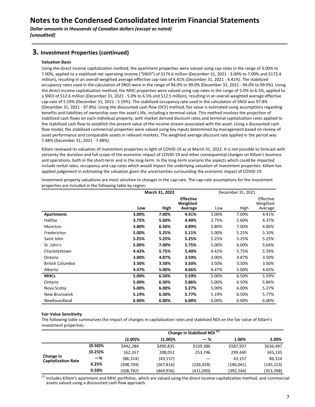**Dollar amounts in thousands of Canadian dollars (except as noted)** *[unaudited]*

#### **3. Investment Properties (continued)**

#### **Valuation Basis**

Using the direct income capitalization method, the apartment properties were valued using cap-rates in the range of 3.00% to 7.00%, applied to a stabilized net operating income ("SNOI") of \$174.6 million (December 31, 2021 - 3.00% to 7.00% and \$172.4 million), resulting in an overall weighted average effective cap-rate of 4.41% (December 31, 2021 - 4.41%). The stabilized occupancy rates used in the calculation of SNOI were in the range of 94.0% to 99.0% (December 31, 2021 - 94.0% to 99.0%). Using the direct income capitalization method, the MHC properties were valued using cap-rates in the range of 5.0% to 6.5%, applied to a SNOI of \$12.6 million (December 31, 2021 - 5.0% to 6.5% and \$12.5 million), resulting in an overall weighted average effective cap-rate of 5.59% (December 31, 2021 - 5.59%). The stabilized occupancy rate used in the calculation of SNOI was 97.8% (December 31, 2021 - 97.8%). Using the discounted cash flow (DCF) method, fair value is estimated using assumptions regarding benefits and liabilities of ownership over the asset's life, including a terminal value. This method involves the projection of stabilized cash flows on each individual property, with market derived discount rates and terminal capitalization rates applied to the stabilized cash flow to establish the present value of the income stream associated with the asset. Using a discounted cash flow model, the stabilized commercial properties were valued using key inputs determined by management based on review of asset performance and comparable assets in relevant markets. The weighted average discount rate applied in the period was 7.48% (December 31, 2021 - 7.48%).

Killam reviewed its valuation of investment properties in light of COVID-19 as at March 31, 2022. It is not possible to forecast with certainty the duration and full scope of the economic impact of COVID-19 and other consequential changes on Killam's business and operations, both in the short-term and in the long-term. In the long-term scenario the aspects which could be impacted include rental rates, occupancy and cap-rates which would impact the underlying valuation of investment properties. Killam has applied judgement in estimating the valuation given the uncertainties surrounding the economic impact of COVID-19.

|                         |       | March 31, 2022 |                              |       | December 31, 2021 |                       |
|-------------------------|-------|----------------|------------------------------|-------|-------------------|-----------------------|
|                         |       |                | <b>Effective</b><br>Weighted |       |                   | Effective<br>Weighted |
|                         | Low   | High           | Average                      | Low   | High              | Average               |
| <b>Apartments</b>       | 3.00% | 7.00%          | 4.41%                        | 3.00% | 7.00%             | 4.41%                 |
| Halifax                 | 3.75% | 5.60%          | 4.40%                        | 3.75% | 5.60%             | 4.37%                 |
| Moncton                 | 3.80% | 6.50%          | 4.89%                        | 3.80% | 7.00%             | 4.86%                 |
| Fredericton             | 5.00% | 5.25%          | 5.11%                        | 5.00% | 5.25%             | 5.10%                 |
| Saint John              | 5.25% | 5.25%          | 5.25%                        | 5.25% | 5.25%             | 5.25%                 |
| St. John's              | 5.00% | 7.00%          | 5.75%                        | 5.00% | 6.00%             | 5.64%                 |
| Charlottetown           | 4.42% | 5.75%          | 5.40%                        | 4.42% | 5.75%             | 5.39%                 |
| Ontario                 | 3.00% | 4.87%          | 3.59%                        | 3.00% | 4.87%             | 3.59%                 |
| <b>British Columbia</b> | 3.50% | 3.50%          | 3.50%                        | 3.50% | 3.50%             | 3.50%                 |
| Alberta                 | 4.47% | 5.00%          | 4.66%                        | 4.47% | 5.00%             | 4.65%                 |
| <b>MHCs</b>             | 5.00% | 6.50%          | 5.59%                        | 5.00% | 6.50%             | 5.59%                 |
| Ontario                 | 5.00% | 6.50%          | 5.86%                        | 5.00% | 6.50%             | 5.86%                 |
| Nova Scotia             | 5.00% | 6.00%          | 5.27%                        | 5.00% | 6.00%             | 5.27%                 |
| New Brunswick           | 5.19% | 6.50%          | 5.77%                        | 5.19% | 6.50%             | 5.77%                 |
| Newfoundland            | 6.00% | 6.00%          | 6.00%                        | 6.00% | 6.00%             | 6.00%                 |

Investment property valuations are most sensitive to changes in the cap-rate. The cap-rate assumptions for the investment properties are included in the following table by region:

#### **Fair Value Sensitivity**

The following table summarizes the impact of changes in capitalization rates and stabilized NOI on the fair value of Killam's investment properties:

|                                         |            | Change in Stabilized NOI <sup>(1)</sup> |            |           |            |           |
|-----------------------------------------|------------|-----------------------------------------|------------|-----------|------------|-----------|
|                                         |            | $(2.00)\%$                              | $(1.00)\%$ | $-$ %     | 1.00%      | 2.00%     |
|                                         | $(0.50)\%$ | \$442.284                               | \$490,835  | \$539,386 | \$587,937  | \$636,487 |
|                                         | $(0.25)\%$ | 162,357                                 | 208,052    | 253,746   | 299,440    | 345,135   |
| Change in<br><b>Capitalization Rate</b> | -%         | (86, 314)                               | (43, 157)  |           | 43.157     | 86,314    |
|                                         | 0.25%      | (308,704)                               | (267,816)  | (226,928) | (186, 041) | (145,153) |
|                                         | 0.50%      | (508,782)                               | (469, 936) | (431,090) | (392,244)  | (353,398) |

 $<sup>(1)</sup>$  Includes Killam's apartment and MHC portfolios, which are valued using the direct income capitalization method, and commercial</sup> assets valued using a discounted cash flow approach.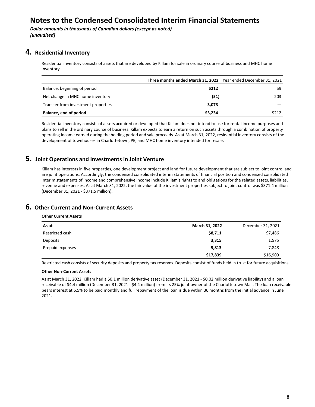**Dollar amounts in thousands of Canadian dollars (except as noted)** *[unaudited]*

### **4.** Residential Inventory

Residential inventory consists of assets that are developed by Killam for sale in ordinary course of business and MHC home inventory.

|                                     | Three months ended March 31, 2022 Year ended December 31, 2021 |       |
|-------------------------------------|----------------------------------------------------------------|-------|
| Balance, beginning of period        | \$212                                                          | \$9   |
| Net change in MHC home inventory    | (51)                                                           | 203   |
| Transfer from investment properties | 3.073                                                          |       |
| Balance, end of period              | \$3,234                                                        | \$212 |

Residential inventory consists of assets acquired or developed that Killam does not intend to use for rental income purposes and plans to sell in the ordinary course of business. Killam expects to earn a return on such assets through a combination of property operating income earned during the holding period and sale proceeds. As at March 31, 2022, residential inventory consists of the development of townhouses in Charlottetown, PE, and MHC home inventory intended for resale.

### **5. Joint Operations and Investments in Joint Venture**

Killam has interests in five properties, one development project and land for future development that are subject to joint control and are joint operations. Accordingly, the condensed consolidated interim statements of financial position and condensed consolidated interim statements of income and comprehensive income include Killam's rights to and obligations for the related assets, liabilities, revenue and expenses. As at March 31, 2022, the fair value of the investment properties subject to joint control was \$371.4 million (December 31, 2021 - \$371.5 million).

### **6.** Other Current and Non-Current Assets

#### **Other Current Assets**

| As at            | March 31, 2022 | December 31, 2021 |
|------------------|----------------|-------------------|
| Restricted cash  | \$8,711        | \$7,486           |
| Deposits         | 3,315          | 1,575             |
| Prepaid expenses | 5,813          | 7,848             |
|                  | \$17,839       | \$16,909          |

Restricted cash consists of security deposits and property tax reserves. Deposits consist of funds held in trust for future acquisitions.

#### **Other Non-Current Assets**

As at March 31, 2022, Killam had a \$0.1 million derivative asset (December 31, 2021 - \$0.02 million derivative liability) and a loan receivable of \$4.4 million (December 31, 2021 - \$4.4 million) from its 25% joint owner of the Charlottetown Mall. The loan receivable bears interest at 6.5% to be paid monthly and full repayment of the loan is due within 36 months from the initial advance in June 2021.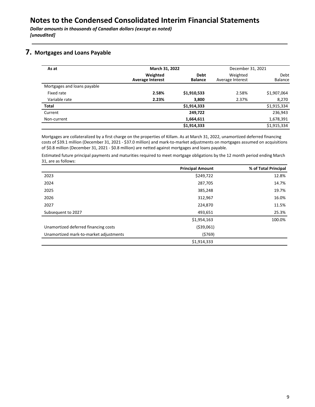### **7.** Mortgages and Loans Payable

| As at                       | March 31, 2022                      |                               | December 31, 2021            |                 |
|-----------------------------|-------------------------------------|-------------------------------|------------------------------|-----------------|
|                             | Weighted<br><b>Average Interest</b> | <b>Debt</b><br><b>Balance</b> | Weighted<br>Average Interest | Debt<br>Balance |
| Mortgages and loans payable |                                     |                               |                              |                 |
| Fixed rate                  | 2.58%                               | \$1,910,533                   | 2.58%                        | \$1,907,064     |
| Variable rate               | 2.23%                               | 3,800                         | 2.37%                        | 8,270           |
| <b>Total</b>                |                                     | \$1,914,333                   |                              | \$1,915,334     |
| Current                     |                                     | 249,722                       |                              | 236,943         |
| Non-current                 |                                     | 1,664,611                     |                              | 1,678,391       |
|                             |                                     | \$1,914,333                   |                              | \$1,915,334     |

Mortgages are collateralized by a first charge on the properties of Killam. As at March 31, 2022, unamortized deferred financing costs of \$39.1 million (December 31, 2021 - \$37.0 million) and mark-to-market adjustments on mortgages assumed on acquisitions of \$0.8 million (December 31, 2021 - \$0.8 million) are netted against mortgages and loans payable.

Estimated future principal payments and maturities required to meet mortgage obligations by the 12 month period ending March 31, are as follows:

|                                        | <b>Principal Amount</b> | % of Total Principal |
|----------------------------------------|-------------------------|----------------------|
| 2023                                   | \$249,722               | 12.8%                |
| 2024                                   | 287,705                 | 14.7%                |
| 2025                                   | 385,248                 | 19.7%                |
| 2026                                   | 312,967                 | 16.0%                |
| 2027                                   | 224,870                 | 11.5%                |
| Subsequent to 2027                     | 493,651                 | 25.3%                |
|                                        | \$1,954,163             | 100.0%               |
| Unamortized deferred financing costs   | ( \$39,061)             |                      |
| Unamortized mark-to-market adjustments | (5769)                  |                      |
|                                        | \$1,914,333             |                      |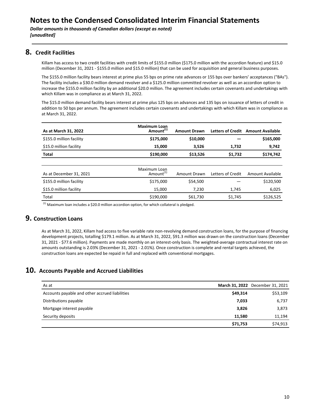### **8. Credit Facilities**

Killam has access to two credit facilities with credit limits of \$155.0 million (\$175.0 million with the accordion feature) and \$15.0 million (December 31, 2021 - \$155.0 million and \$15.0 million) that can be used for acquisition and general business purposes.

The \$155.0 million facility bears interest at prime plus 55 bps on prime rate advances or 155 bps over bankers' acceptances ("BAs"). The facility includes a \$30.0 million demand revolver and a \$125.0 million committed revolver as well as an accordion option to increase the \$155.0 million facility by an additional \$20.0 million. The agreement includes certain covenants and undertakings with which Killam was in compliance as at March 31, 2022.

The \$15.0 million demand facility bears interest at prime plus 125 bps on advances and 135 bps on issuance of letters of credit in addition to 50 bps per annum. The agreement includes certain covenants and undertakings with which Killam was in compliance as at March 31, 2022.

| As at March 31, 2022     | <b>Maximum Loan</b><br>Amount <sup>(1)</sup> | <b>Amount Drawn</b> | <b>Letters of Credit</b> | <b>Amount Available</b> |
|--------------------------|----------------------------------------------|---------------------|--------------------------|-------------------------|
| \$155.0 million facility | \$175,000                                    | \$10,000            |                          | \$165,000               |
| \$15.0 million facility  | 15,000                                       | 3,526               | 1,732                    | 9,742                   |
| <b>Total</b>             | \$190,000                                    | \$13,526            | \$1,732                  | \$174,742               |
|                          |                                              |                     |                          |                         |
| As at December 31, 2021  | Maximum Loan<br>Amount <sup>(1)</sup>        | Amount Drawn        | Letters of Credit        | Amount Available        |
| \$155.0 million facility | \$175,000                                    | \$54,500            |                          | \$120,500               |
| \$15.0 million facility  | 15.000                                       | 7,230               | 1,745                    | 6,025                   |
| Total                    | \$190,000                                    | \$61,730            | \$1,745                  | \$126,525               |

 $<sup>(1)</sup>$  Maximum loan includes a \$20.0 million accordion option, for which collateral is pledged.</sup>

### **9. Construction Loans**

As at March 31, 2022, Killam had access to five variable rate non-revolving demand construction loans, for the purpose of financing development projects, totalling \$179.1 million. As at March 31, 2022, \$91.3 million was drawn on the construction loans (December 31, 2021 - \$77.6 million). Payments are made monthly on an interest-only basis. The weighted-average contractual interest rate on amounts outstanding is 2.03% (December 31, 2021 - 2.01%). Once construction is complete and rental targets achieved, the construction loans are expected be repaid in full and replaced with conventional mortgages.

### **10.** Accounts Payable and Accrued Liabilities

| As at                                          |          | March 31, 2022 December 31, 2021 |
|------------------------------------------------|----------|----------------------------------|
| Accounts payable and other accrued liabilities | \$49,314 | \$53,109                         |
| Distributions payable                          | 7,033    | 6,737                            |
| Mortgage interest payable                      | 3,826    | 3,873                            |
| Security deposits                              | 11.580   | 11,194                           |
|                                                | \$71,753 | \$74,913                         |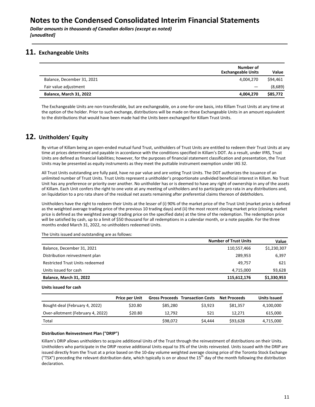**Dollar amounts in thousands of Canadian dollars (except as noted)** *[unaudited]*

### **11.** Exchangeable Units

|                                | Number of<br><b>Exchangeable Units</b> | Value    |
|--------------------------------|----------------------------------------|----------|
| Balance, December 31, 2021     | 4.004.270                              | \$94,461 |
| Fair value adjustment          |                                        | (8,689)  |
| <b>Balance, March 31, 2022</b> | 4.004.270                              | \$85,772 |

The Exchangeable Units are non-transferable, but are exchangeable, on a one-for-one basis, into Killam Trust Units at any time at the option of the holder. Prior to such exchange, distributions will be made on these Exchangeable Units in an amount equivalent to the distributions that would have been made had the Units been exchanged for Killam Trust Units.

### **12. Unitholders' Equity**

By virtue of Killam being an open-ended mutual fund Trust, unitholders of Trust Units are entitled to redeem their Trust Units at any time at prices determined and payable in accordance with the conditions specified in Killam's DOT. As a result, under IFRS, Trust Units are defined as financial liabilities; however, for the purposes of financial statement classification and presentation, the Trust Units may be presented as equity instruments as they meet the puttable instrument exemption under IAS 32.

All Trust Units outstanding are fully paid, have no par value and are voting Trust Units. The DOT authorizes the issuance of an unlimited number of Trust Units. Trust Units represent a unitholder's proportionate undivided beneficial interest in Killam. No Trust Unit has any preference or priority over another. No unitholder has or is deemed to have any right of ownership in any of the assets of Killam. Each Unit confers the right to one vote at any meeting of unitholders and to participate pro rata in any distributions and, on liquidation to a pro rata share of the residual net assets remaining after preferential claims thereon of debtholders.

Unitholders have the right to redeem their Units at the lesser of (i) 90% of the market price of the Trust Unit (market price is defined as the weighted average trading price of the previous 10 trading days) and (ii) the most recent closing market price (closing market price is defined as the weighted average trading price on the specified date) at the time of the redemption. The redemption price will be satisfied by cash, up to a limit of \$50 thousand for all redemptions in a calendar month, or a note payable. For the three months ended March 31, 2022, no unitholders redeemed Units.

**Number of Trust Units <b>Value** Balance, December 31, 2021 **110,557,466** \$1,230,307 Distribution reinvestment plan and 289,953 6,397 Restricted Trust Units redeemed **Abuse 2018 621 1999 49,757 621** Units issued for cash 93,628 **Balance, March 31, 2022 115,612,176 \$1,330,953** 

The Units issued and outstanding are as follows:

#### **Units issued for cash**

|                                   | <b>Price per Unit</b> |          | <b>Gross Proceeds Transaction Costs</b> | <b>Net Proceeds</b> | Units Issued |
|-----------------------------------|-----------------------|----------|-----------------------------------------|---------------------|--------------|
| Bought-deal (February 4, 2022)    | \$20.80               | \$85,280 | \$3.923                                 | \$81.357            | 4,100,000    |
| Over-allotment (February 4, 2022) | \$20.80               | 12.792   | 521                                     | 12.271              | 615,000      |
| Total                             |                       | \$98.072 | \$4,444                                 | \$93.628            | 4,715,000    |

#### **Distribution Reinvestment Plan ("DRIP")**

Killam's DRIP allows unitholders to acquire additional Units of the Trust through the reinvestment of distributions on their Units. Unitholders who participate in the DRIP receive additional Units equal to 3% of the Units reinvested. Units issued with the DRIP are issued directly from the Trust at a price based on the 10-day volume weighted average closing price of the Toronto Stock Exchange ("TSX") preceding the relevant distribution date, which typically is on or about the 15<sup>th</sup> day of the month following the distribution declaration.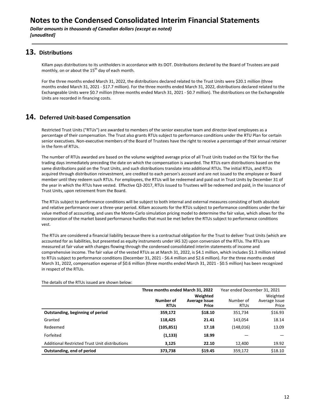**Dollar amounts in thousands of Canadian dollars (except as noted)** *[unaudited]*

### **13. Distributions**

Killam pays distributions to its unitholders in accordance with its DOT. Distributions declared by the Board of Trustees are paid monthly, on or about the  $15^{th}$  day of each month.

For the three months ended March 31, 2022, the distributions declared related to the Trust Units were \$20.1 million (three months ended March 31, 2021 - \$17.7 million). For the three months ended March 31, 2022, distributions declared related to the Exchangeable Units were \$0.7 million (three months ended March 31, 2021 - \$0.7 million). The distributions on the Exchangeable Units are recorded in financing costs.

### **14. Deferred Unit-based Compensation**

Restricted Trust Units ("RTUs") are awarded to members of the senior executive team and director-level employees as a percentage of their compensation. The Trust also grants RTUs subject to performance conditions under the RTU Plan for certain senior executives. Non-executive members of the Board of Trustees have the right to receive a percentage of their annual retainer in the form of RTUs.

The number of RTUs awarded are based on the volume weighted average price of all Trust Units traded on the TSX for the five trading days immediately preceding the date on which the compensation is awarded. The RTUs earn distributions based on the same distributions paid on the Trust Units, and such distributions translate into additional RTUs. The initial RTUs, and RTUs acquired through distribution reinvestment, are credited to each person's account and are not issued to the employee or Board member until they redeem such RTUs. For employees, the RTUs will be redeemed and paid out in Trust Units by December 31 of the year in which the RTUs have vested. Effective Q3-2017, RTUs issued to Trustees will be redeemed and paid, in the issuance of Trust Units, upon retirement from the Board.

The RTUs subject to performance conditions will be subject to both internal and external measures consisting of both absolute and relative performance over a three-year period. Killam accounts for the RTUs subject to performance conditions under the fair value method of accounting, and uses the Monte-Carlo simulation pricing model to determine the fair value, which allows for the incorporation of the market based performance hurdles that must be met before the RTUs subject to performance conditions vest. 

The RTUs are considered a financial liability because there is a contractual obligation for the Trust to deliver Trust Units (which are accounted for as liabilities, but presented as equity instruments under IAS 32) upon conversion of the RTUs. The RTUs are measured at fair value with changes flowing through the condensed consolidated interim statements of income and comprehensive income. The fair value of the vested RTUs as at March 31, 2022, is \$4.1 million, which includes \$1.3 million related to RTUs subject to performance conditions (December 31, 2021 - \$6.4 million and \$2.6 million). For the three months ended March 31, 2022, compensation expense of \$0.6 million (three months ended March 31, 2021 - \$0.5 million) has been recognized in respect of the RTUs.

|                                                | Three months ended March 31, 2022 |                                           | Year ended December 31, 2021 |                                    |
|------------------------------------------------|-----------------------------------|-------------------------------------------|------------------------------|------------------------------------|
|                                                | Number of<br><b>RTUs</b>          | Weighted<br><b>Average Issue</b><br>Price | Number of<br><b>RTUs</b>     | Weighted<br>Average Issue<br>Price |
| Outstanding, beginning of period               | 359,172                           | \$18.10                                   | 351.734                      | \$16.93                            |
| Granted                                        | 118,425                           | 21.41                                     | 143.054                      | 18.14                              |
| Redeemed                                       | (105, 851)                        | 17.18                                     | (148, 016)                   | 13.09                              |
| Forfeited                                      | (1, 133)                          | 18.99                                     |                              |                                    |
| Additional Restricted Trust Unit distributions | 3.125                             | 22.10                                     | 12.400                       | 19.92                              |
| Outstanding, end of period                     | 373,738                           | \$19.45                                   | 359,172                      | \$18.10                            |

The details of the RTUs issued are shown below: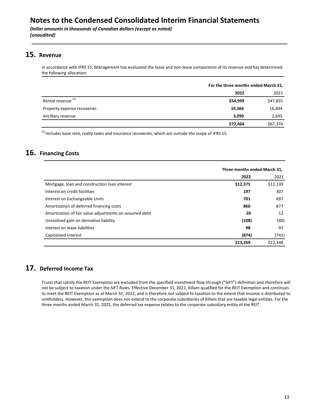**Dollar amounts in thousands of Canadian dollars (except as noted)** *[unaudited]*

### **15. Revenue**

In accordance with IFRS 15, Management has evaluated the lease and non-lease components of its revenue and has determined the following allocation:

|                               | For the three months ended March 31, |          |
|-------------------------------|--------------------------------------|----------|
|                               | 2022                                 | 2021     |
| Rental revenue <sup>(1)</sup> | \$54,999                             | \$47,835 |
| Property expense recoveries   | 19,366                               | 16,844   |
| Ancillary revenue             | 3,099                                | 2,695    |
|                               | \$77,464                             | \$67,374 |

 $<sup>(1)</sup>$  Includes base rent, realty taxes and insurance recoveries, which are outside the scope of IFRS 15.</sup>

### **16.** Financing Costs

|                                                        | Three months ended March 31, |          |
|--------------------------------------------------------|------------------------------|----------|
|                                                        | 2022                         | 2021     |
| Mortgage, loan and construction loan interest          | \$12,375                     | \$11,139 |
| Interest on credit facilities                          | 197                          | 307      |
| Interest on Exchangeable Units                         | 701                          | 697      |
| Amortization of deferred financing costs               | 860                          | 877      |
| Amortization of fair value adjustments on assumed debt | 20                           | 12       |
| Unrealized gain on derivative liability                | (108)                        | (40)     |
| Interest on lease liabilities                          | 98                           | 97       |
| Capitalized interest                                   | (874)                        | (741)    |
|                                                        | \$13,269                     | \$12,348 |

### 17. Deferred Income Tax

Trusts that satisfy the REIT Exemption are excluded from the specified investment flow-through ("SIFT") definition and therefore will not be subject to taxation under the SIFT Rules. Effective December 31, 2021, Killam qualified for the REIT Exemption and continues to meet the REIT Exemption as at March 31, 2022, and is therefore not subject to taxation to the extent that income is distributed to unitholders. However, this exemption does not extend to the corporate subsidiaries of Killam that are taxable legal entities. For the three months ended March 31, 2022, the deferred tax expense relates to the corporate subsidiary entity of the REIT.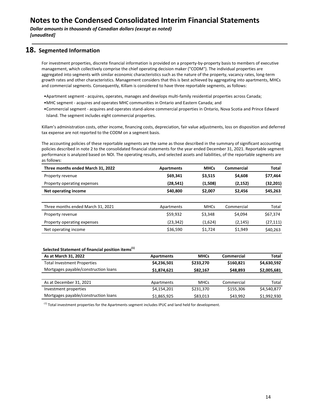**Dollar amounts in thousands of Canadian dollars (except as noted)** *[unaudited]*

#### **18.** Segmented Information

For investment properties, discrete financial information is provided on a property-by-property basis to members of executive management, which collectively comprise the chief operating decision maker ("CODM"). The individual properties are aggregated into segments with similar economic characteristics such as the nature of the property, vacancy rates, long-term growth rates and other characteristics. Management considers that this is best achieved by aggregating into apartments, MHCs and commercial segments. Consequently, Killam is considered to have three reportable segments, as follows:

- Apartment segment acquires, operates, manages and develops multi-family residential properties across Canada;
- MHC segment acquires and operates MHC communities in Ontario and Eastern Canada; and
- Commercial segment acquires and operates stand-alone commercial properties in Ontario, Nova Scotia and Prince Edward Island. The segment includes eight commercial properties.

Killam's administration costs, other income, financing costs, depreciation, fair value adjustments, loss on disposition and deferred tax expense are not reported to the CODM on a segment basis.

The accounting policies of these reportable segments are the same as those described in the summary of significant accounting policies described in note 2 to the consolidated financial statements for the year ended December 31, 2021. Reportable segment performance is analyzed based on NOI. The operating results, and selected assets and liabilities, of the reportable segments are as follows:

| Three months ended March 31, 2022 | <b>Apartments</b> | <b>MHCs</b> | Commercial | <b>Total</b> |
|-----------------------------------|-------------------|-------------|------------|--------------|
| Property revenue                  | \$69,341          | \$3,515     | \$4,608    | \$77,464     |
| Property operating expenses       | (28, 541)         | (1,508)     | (2, 152)   | (32,201)     |
| Net operating income              | \$40,800          | \$2,007     | \$2,456    | \$45,263     |
|                                   |                   |             |            |              |
| Three months ended March 31, 2021 | Apartments        | <b>MHCs</b> | Commercial | Total        |
| Property revenue                  | \$59,932          | \$3,348     | \$4,094    | \$67,374     |
| Property operating expenses       | (23,342)          | (1,624)     | (2, 145)   | (27,111)     |
| Net operating income              | \$36,590          | \$1,724     | \$1,949    | \$40,263     |

#### Selected Statement of financial position items<sup>(1)</sup>

| As at March 31, 2022                 | <b>Apartments</b> | <b>MHCs</b> | Commercial | <b>Total</b> |
|--------------------------------------|-------------------|-------------|------------|--------------|
| <b>Total Investment Properties</b>   | \$4,236,501       | \$233,270   | \$160.821  | \$4,630,592  |
| Mortgages payable/construction loans | \$1,874,621       | \$82,167    | \$48,893   | \$2,005,681  |
|                                      |                   |             |            |              |
| As at December 31, 2021              | Apartments        | <b>MHCs</b> | Commercial | Total        |
| Investment properties                | \$4,154,201       | \$231,370   | \$155,306  | \$4,540,877  |
| Mortgages payable/construction loans | \$1,865,925       | \$83,013    | \$43,992   | \$1,992,930  |

 $<sup>(1)</sup>$  Total investment properties for the Apartments segment includes IPUC and land held for development.</sup>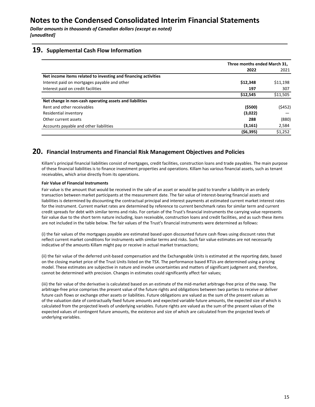**Dollar amounts in thousands of Canadian dollars (except as noted)** *[unaudited]*

#### **19. Supplemental Cash Flow Information**

|                                                                | Three months ended March 31, |          |
|----------------------------------------------------------------|------------------------------|----------|
|                                                                | 2022                         | 2021     |
| Net income items related to investing and financing activities |                              |          |
| Interest paid on mortgages payable and other                   | \$12,348                     | \$11,198 |
| Interest paid on credit facilities                             | 197                          | 307      |
|                                                                | \$12,545                     | \$11,505 |
| Net change in non-cash operating assets and liabilities        |                              |          |
| Rent and other receivables                                     | ( \$500)                     | (5452)   |
| Residential inventory                                          | (3,022)                      |          |
| Other current assets                                           | 288                          | (880)    |
| Accounts payable and other liabilities                         | (3, 161)                     | 2,584    |
|                                                                | (56, 395)                    | \$1,252  |

#### **20. Financial Instruments and Financial Risk Management Objectives and Policies**

Killam's principal financial liabilities consist of mortgages, credit facilities, construction loans and trade payables. The main purpose of these financial liabilities is to finance investment properties and operations. Killam has various financial assets, such as tenant receivables, which arise directly from its operations.

#### **Fair Value of Financial Instruments**

Fair value is the amount that would be received in the sale of an asset or would be paid to transfer a liability in an orderly transaction between market participants at the measurement date. The fair value of interest-bearing financial assets and liabilities is determined by discounting the contractual principal and interest payments at estimated current market interest rates for the instrument. Current market rates are determined by reference to current benchmark rates for similar term and current credit spreads for debt with similar terms and risks. For certain of the Trust's financial instruments the carrying value represents fair value due to the short term nature including, loan receivable, construction loans and credit facilities, and as such these items are not included in the table below. The fair values of the Trust's financial instruments were determined as follows:

(i) the fair values of the mortgages payable are estimated based upon discounted future cash flows using discount rates that reflect current market conditions for instruments with similar terms and risks. Such fair value estimates are not necessarily indicative of the amounts Killam might pay or receive in actual market transactions;

(ii) the fair value of the deferred unit-based compensation and the Exchangeable Units is estimated at the reporting date, based on the closing market price of the Trust Units listed on the TSX. The performance based RTUs are determined using a pricing model. These estimates are subjective in nature and involve uncertainties and matters of significant judgment and, therefore, cannot be determined with precision. Changes in estimates could significantly affect fair values;

(iii) the fair value of the derivative is calculated based on an estimate of the mid-market arbitrage-free price of the swap. The arbitrage-free price comprises the present value of the future rights and obligations between two parties to receive or deliver future cash flows or exchange other assets or liabilities. Future obligations are valued as the sum of the present values as of the valuation date of contractually fixed future amounts and expected variable future amounts, the expected size of which is calculated from the projected levels of underlying variables. Future rights are valued as the sum of the present values of the expected values of contingent future amounts, the existence and size of which are calculated from the projected levels of underlying variables.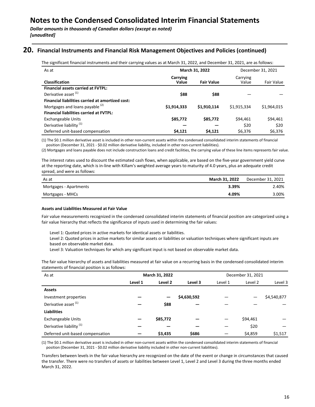### **20.** Financial Instruments and Financial Risk Management Objectives and Policies (continued)

The significant financial instruments and their carrying values as at March 31, 2022, and December 31, 2021, are as follows:

| As at                                            | March 31, 2022    |                   | December 31, 2021 |             |
|--------------------------------------------------|-------------------|-------------------|-------------------|-------------|
| <b>Classification</b>                            | Carrying<br>Value | <b>Fair Value</b> | Carrying<br>Value | Fair Value  |
| <b>Financial assets carried at FVTPL:</b>        |                   |                   |                   |             |
| Derivative asset <sup>(1)</sup>                  | \$88              | \$88              |                   |             |
| Financial liabilities carried at amortized cost: |                   |                   |                   |             |
| Mortgages and loans payable <sup>(2)</sup>       | \$1,914,333       | \$1,910,114       | \$1,915,334       | \$1,964,015 |
| <b>Financial liabilities carried at FVTPL:</b>   |                   |                   |                   |             |
| Exchangeable Units                               | \$85,772          | \$85,772          | \$94,461          | \$94,461    |
| Derivative liability <sup>(1)</sup>              |                   |                   | \$20              | \$20        |
| Deferred unit-based compensation                 | \$4,121           | \$4,121           | \$6,376           | \$6,376     |

(1) The \$0.1 million derivative asset is included in other non-current assets within the condensed consolidated interim statements of financial position (December 31, 2021 - \$0.02 million derivative liability, included in other non-current liabilities).

(2) Mortgages and loans payable does not include construction loans and credit facilities, the carrying value of these line items represents fair value.

The interest rates used to discount the estimated cash flows, when applicable, are based on the five-year government yield curve at the reporting date, which is in-line with Killam's weighted average years to maturity of 4.0 years, plus an adequate credit spread, and were as follows:

| As at                  | March 31, 2022 | December 31, 2021 |
|------------------------|----------------|-------------------|
| Mortgages - Apartments | 3.39%          | 2.40%             |
| Mortgages - MHCs       | 4.09%          | 3.00%             |

#### **Assets and Liabilities Measured at Fair Value**

Fair value measurements recognized in the condensed consolidated interim statements of financial position are categorized using a fair value hierarchy that reflects the significance of inputs used in determining the fair values:

Level 1: Quoted prices in active markets for identical assets or liabilities.

Level 2: Quoted prices in active markets for similar assets or liabilities or valuation techniques where significant inputs are based on observable market data.

Level 3: Valuation techniques for which any significant input is not based on observable market data.

The fair value hierarchy of assets and liabilities measured at fair value on a recurring basis in the condensed consolidated interim statements of financial position is as follows:

| As at                               | March 31, 2022 |          | December 31, 2021 |         |          |             |
|-------------------------------------|----------------|----------|-------------------|---------|----------|-------------|
|                                     | Level 1        | Level 2  | Level 3           | Level 1 | Level 2  | Level 3     |
| <b>Assets</b>                       |                |          |                   |         |          |             |
| Investment properties               |                | -        | \$4,630,592       |         |          | \$4,540,877 |
| Derivative asset <sup>(1)</sup>     |                | \$88     |                   |         |          |             |
| <b>Liabilities</b>                  |                |          |                   |         |          |             |
| <b>Exchangeable Units</b>           |                | \$85,772 |                   |         | \$94,461 |             |
| Derivative liability <sup>(1)</sup> |                |          |                   |         | \$20     |             |
| Deferred unit-based compensation    |                | \$3,435  | \$686             |         | \$4,859  | \$1,517     |

(1) The \$0.1 million derivative asset is included in other non-current assets within the condensed consolidated interim statements of financial position (December 31, 2021 - \$0.02 million derivative liability included in other non-current liabilities).

Transfers between levels in the fair value hierarchy are recognized on the date of the event or change in circumstances that caused the transfer. There were no transfers of assets or liabilities between Level 1, Level 2 and Level 3 during the three months ended March 31, 2022.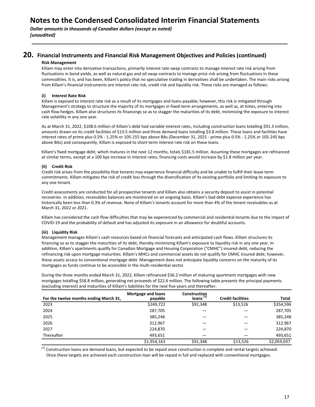**Dollar amounts in thousands of Canadian dollars (except as noted)** *[unaudited]*

#### **20.** Financial Instruments and Financial Risk Management Objectives and Policies (continued)

#### **Risk Management**

Killam may enter into derivative transactions, primarily interest rate swap contracts to manage interest rate risk arising from fluctuations in bond yields, as well as natural gas and oil swap contracts to manage price risk arising from fluctuations in these commodities. It is, and has been, Killam's policy that no speculative trading in derivatives shall be undertaken. The main risks arising from Killam's financial instruments are interest rate risk, credit risk and liquidity risk. These risks are managed as follows:

#### **(i) Interest Rate Risk**

Killam is exposed to interest rate risk as a result of its mortgages and loans payable; however, this risk is mitigated through Management's strategy to structure the majority of its mortgages in fixed-term arrangements, as well as, at times, entering into cash flow hedges. Killam also structures its financings so as to stagger the maturities of its debt, minimizing the exposure to interest rate volatility in any one year.

As at March 31, 2022, \$108.6 million of Killam's debt had variable interest rates, including construction loans totalling \$91.3 million, amounts drawn on its credit facilities of \$13.5 million and three demand loans totalling \$3.8 million. These loans and facilities have interest rates of prime plus 0.5% - 1.25% or 105-155 bps above BAs (December 31, 2021 - prime plus 0.5% - 1.25% or 105-245 bps above BAs) and consequently, Killam is exposed to short-term interest rate risk on these loans.

Killam's fixed mortgage debt, which matures in the next 12 months, totals \$181.5 million. Assuming these mortgages are refinanced at similar terms, except at a 100 bps increase in interest rates, financing costs would increase by \$1.8 million per year.

#### **(ii) Credit Risk**

Credit risk arises from the possibility that tenants may experience financial difficulty and be unable to fulfill their lease term commitments. Killam mitigates the risk of credit loss through the diversification of its existing portfolio and limiting its exposure to any one tenant.

Credit assessments are conducted for all prospective tenants and Killam also obtains a security deposit to assist in potential recoveries. In addition, receivables balances are monitored on an ongoing basis. Killam's bad debt expense experience has historically been less than 0.3% of revenue. None of Killam's tenants account for more than 4% of the tenant receivables as at March 31, 2022 or 2021.

Killam has considered the cash flow difficulties that may be experienced by commercial and residential tenants due to the impact of COVID-19 and the probability of default and has adjusted its exposure in an allowance for doubtful accounts.

#### **(iii) Liquidity Risk**

Management manages Killam's cash resources based on financial forecasts and anticipated cash flows. Killam structures its financing so as to stagger the maturities of its debt, thereby minimizing Killam's exposure to liquidity risk in any one year. In addition, Killam's apartments qualify for Canadian Mortgage and Housing Corporation ("CMHC") insured debt, reducing the refinancing risk upon mortgage maturities. Killam's MHCs and commercial assets do not qualify for CMHC insured debt; however, these assets access to conventional mortgage debt. Management does not anticipate liquidity concerns on the maturity of its mortgages as funds continue to be accessible in the multi-residential sector.

During the three months ended March 31, 2022, Killam refinanced \$36.2 million of maturing apartment mortgages with new mortgages totalling \$58.8 million, generating net proceeds of \$22.6 million. The following table presents the principal payments (excluding interest) and maturities of Killam's liabilities for the next five years and thereafter:

|                                        | Mortgage and loans | Construction         |                          |             |
|----------------------------------------|--------------------|----------------------|--------------------------|-------------|
| For the twelve months ending March 31, | payable            | Ioans <sup>(1)</sup> | <b>Credit facilities</b> | Total       |
| 2023                                   | \$249,722          | \$91,348             | \$13,526                 | \$354,596   |
| 2024                                   | 287,705            |                      |                          | 287,705     |
| 2025                                   | 385,248            |                      |                          | 385,248     |
| 2026                                   | 312,967            |                      |                          | 312,967     |
| 2027                                   | 224.870            |                      |                          | 224,870     |
| Thereafter                             | 493,651            |                      |                          | 493,651     |
|                                        | \$1,954,163        | \$91,348             | \$13,526                 | \$2,059,037 |

 $<sup>(1)</sup>$  Construction loans are demand loans, but expected to be repaid once construction is complete and rental targets achieved.</sup> Once these targets are achieved each construction loan will be repaid in full and replaced with conventional mortgages.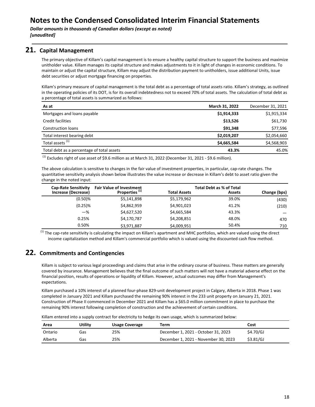#### **21. Capital Management**

The primary objective of Killam's capital management is to ensure a healthy capital structure to support the business and maximize unitholder value. Killam manages its capital structure and makes adjustments to it in light of changes in economic conditions. To maintain or adjust the capital structure, Killam may adjust the distribution payment to unitholders, issue additional Units, issue debt securities or adjust mortgage financing on properties.

Killam's primary measure of capital management is the total debt as a percentage of total assets ratio. Killam's strategy, as outlined in the operating policies of its DOT, is for its overall indebtedness not to exceed 70% of total assets. The calculation of total debt as a percentage of total assets is summarized as follows:

| As at                                      | March 31, 2022 | December 31, 2021 |
|--------------------------------------------|----------------|-------------------|
| Mortgages and loans payable                | \$1,914,333    | \$1,915,334       |
| Credit facilities                          | \$13,526       | \$61,730          |
| Construction loans                         | \$91.348       | \$77,596          |
| Total interest bearing debt                | \$2,019,207    | \$2,054,660       |
| Total assets <sup>(1)</sup>                | \$4,665,584    | \$4,568,903       |
| Total debt as a percentage of total assets | 43.3%          | 45.0%             |

  $^{(1)}$  Excludes right of use asset of \$9.6 million as at March 31, 2022 (December 31, 2021 - \$9.6 million).

The above calculation is sensitive to changes in the fair value of investment properties, in particular, cap-rate changes. The quantitative sensitivity analysis shown below illustrates the value increase or decrease in Killam's debt to asset ratio given the change in the noted input:

| <b>Cap-Rate Sensitivity</b> | <b>Fair Value of Investment</b> |                     | <b>Total Debt as % of Total</b> |              |
|-----------------------------|---------------------------------|---------------------|---------------------------------|--------------|
| Increase (Decrease)         | Properties <sup>(1)</sup>       | <b>Total Assets</b> | <b>Assets</b>                   | Change (bps) |
| $(0.50)$ %                  | \$5,141,898                     | \$5,179,962         | 39.0%                           | (430)        |
| $(0.25)$ %                  | \$4,862,959                     | \$4,901,023         | 41.2%                           | (210)        |
| $-$ %                       | \$4,627,520                     | \$4,665,584         | 43.3%                           |              |
| 0.25%                       | \$4,170,787                     | \$4,208,851         | 48.0%                           | 470          |
| 0.50%                       | \$3,971,887                     | \$4,009,951         | 50.4%                           | 710          |

 $<sup>(1)</sup>$  The cap-rate sensitivity is calculating the impact on Killam's apartment and MHC portfolios, which are valued using the direct</sup> income capitalization method and Killam's commercial portfolio which is valued using the discounted cash flow method.

### **22. Commitments and Contingencies**

Killam is subject to various legal proceedings and claims that arise in the ordinary course of business. These matters are generally covered by insurance. Management believes that the final outcome of such matters will not have a material adverse effect on the financial position, results of operations or liquidity of Killam. However, actual outcomes may differ from Management's expectations.

Killam purchased a 10% interest of a planned four-phase 829-unit development project in Calgary, Alberta in 2018. Phase 1 was completed in January 2021 and Killam purchased the remaining 90% interest in the 233 unit property on January 21, 2021. Construction of Phase II commenced in December 2021 and Killam has a \$65.0 million commitment in place to purchase the remaining 90% interest following completion of construction and the achievement of certain conditions.

Killam entered into a supply contract for electricity to hedge its own usage, which is summarized below:

| Area    | Utility | <b>Usage Coverage</b> | Term                                 | Cost      |
|---------|---------|-----------------------|--------------------------------------|-----------|
| Ontario | Gas     | 25%                   | December 1, 2021 - October 31, 2023  | \$4.70/GJ |
| Alberta | Gas     | 25%                   | December 1, 2021 - November 30, 2023 | \$3.81/GJ |